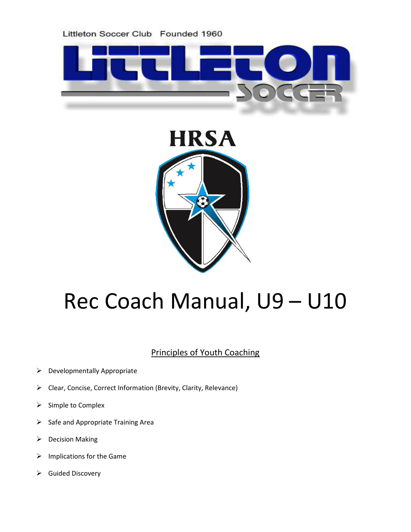



# Rec Coach Manual, U9 – U10

# Principles of Youth Coaching

- $\triangleright$  Developmentally Appropriate
- Clear, Concise, Correct Information (Brevity, Clarity, Relevance)
- $\triangleright$  Simple to Complex
- $\triangleright$  Safe and Appropriate Training Area
- $\triangleright$  Decision Making
- $\triangleright$  Implications for the Game
- $\triangleright$  Guided Discovery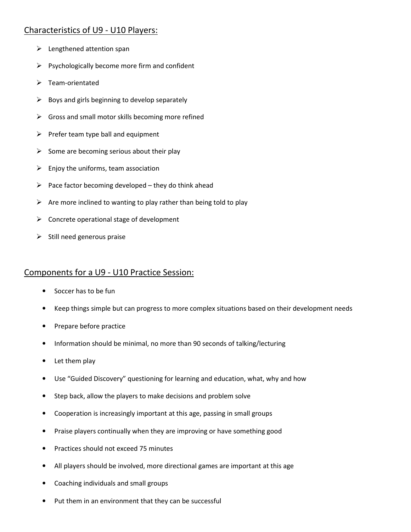## Characteristics of U9 - U10 Players:

- $\blacktriangleright$  Lengthened attention span
- $\triangleright$  Psychologically become more firm and confident
- $\triangleright$  Team-orientated
- $\triangleright$  Boys and girls beginning to develop separately
- $\triangleright$  Gross and small motor skills becoming more refined
- $\triangleright$  Prefer team type ball and equipment
- $\triangleright$  Some are becoming serious about their play
- $\triangleright$  Enjoy the uniforms, team association
- $\triangleright$  Pace factor becoming developed they do think ahead
- $\triangleright$  Are more inclined to wanting to play rather than being told to play
- $\triangleright$  Concrete operational stage of development
- $\triangleright$  Still need generous praise

## Components for a U9 - U10 Practice Session:

- Soccer has to be fun
- Keep things simple but can progress to more complex situations based on their development needs
- Prepare before practice
- Information should be minimal, no more than 90 seconds of talking/lecturing
- Let them play
- Use "Guided Discovery" questioning for learning and education, what, why and how
- Step back, allow the players to make decisions and problem solve
- Cooperation is increasingly important at this age, passing in small groups
- Praise players continually when they are improving or have something good
- Practices should not exceed 75 minutes
- All players should be involved, more directional games are important at this age
- Coaching individuals and small groups
- Put them in an environment that they can be successful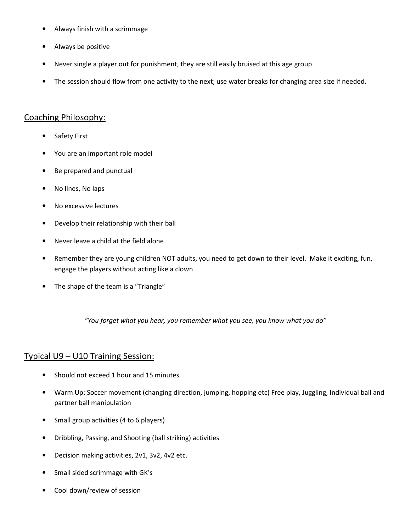- Always finish with a scrimmage
- Always be positive
- Never single a player out for punishment, they are still easily bruised at this age group
- The session should flow from one activity to the next; use water breaks for changing area size if needed.

#### Coaching Philosophy:

- Safety First
- You are an important role model
- Be prepared and punctual
- No lines, No laps
- No excessive lectures
- Develop their relationship with their ball
- Never leave a child at the field alone
- Remember they are young children NOT adults, you need to get down to their level. Make it exciting, fun, engage the players without acting like a clown
- The shape of the team is a "Triangle"

"You forget what you hear, you remember what you see, you know what you do"

## Typical U9 – U10 Training Session:

- Should not exceed 1 hour and 15 minutes
- Warm Up: Soccer movement (changing direction, jumping, hopping etc) Free play, Juggling, Individual ball and partner ball manipulation
- Small group activities (4 to 6 players)
- Dribbling, Passing, and Shooting (ball striking) activities
- Decision making activities, 2v1, 3v2, 4v2 etc.
- Small sided scrimmage with GK's
- Cool down/review of session